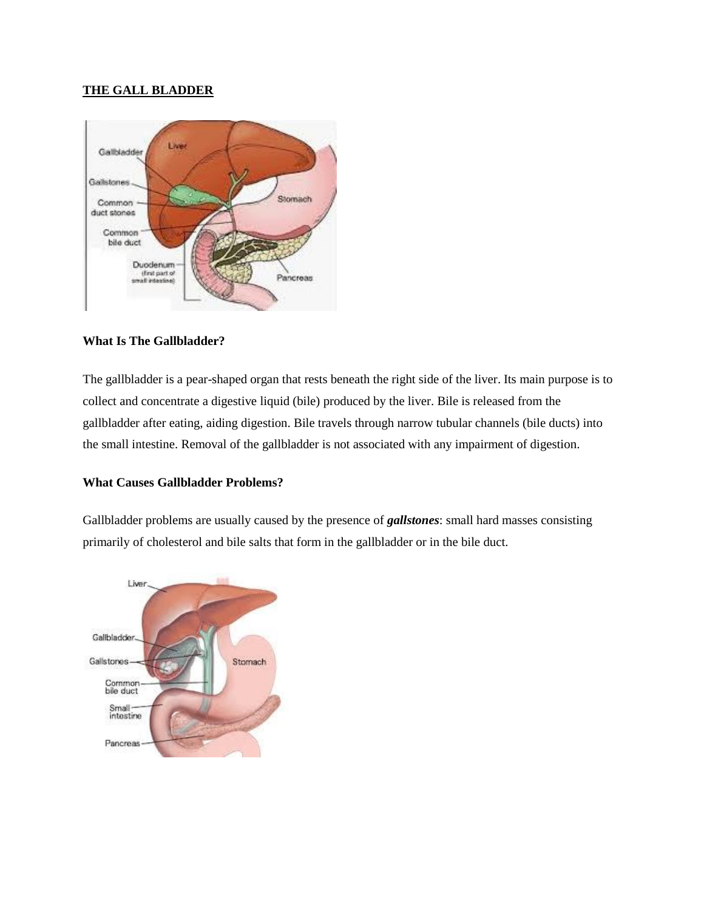### **THE GALL BLADDER**



# **What Is The Gallbladder?**

The gallbladder is a pear-shaped organ that rests beneath the right side of the liver. Its main purpose is to collect and concentrate a digestive liquid (bile) produced by the liver. Bile is released from the gallbladder after eating, aiding digestion. Bile travels through narrow tubular channels (bile ducts) into the small intestine. Removal of the gallbladder is not associated with any impairment of digestion.

# **What Causes Gallbladder Problems?**

Gallbladder problems are usually caused by the presence of *gallstones*: small hard masses consisting primarily of cholesterol and bile salts that form in the gallbladder or in the bile duct.

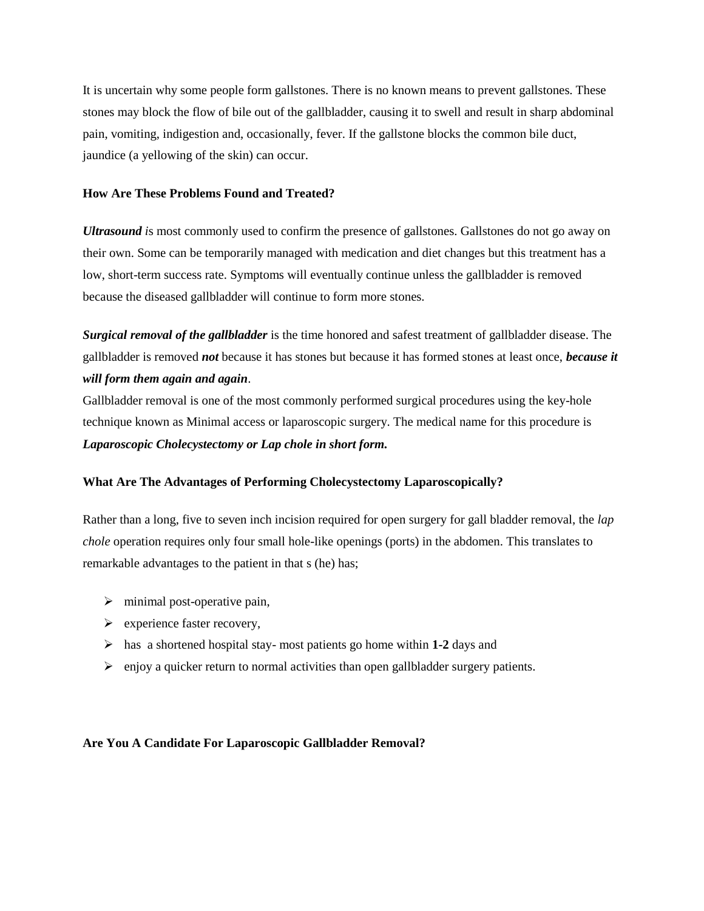It is uncertain why some people form gallstones. There is no known means to prevent gallstones. These stones may block the flow of bile out of the gallbladder, causing it to swell and result in sharp abdominal pain, vomiting, indigestion and, occasionally, fever. If the gallstone blocks the common bile duct, jaundice (a yellowing of the skin) can occur.

### **How Are These Problems Found and Treated?**

*Ultrasound i*s most commonly used to confirm the presence of gallstones. Gallstones do not go away on their own. Some can be temporarily managed with medication and diet changes but this treatment has a low, short-term success rate. Symptoms will eventually continue unless the gallbladder is removed because the diseased gallbladder will continue to form more stones.

*Surgical removal of the gallbladder* is the time honored and safest treatment of gallbladder disease. The gallbladder is removed *not* because it has stones but because it has formed stones at least once, *because it will form them again and again*.

Gallbladder removal is one of the most commonly performed surgical procedures using the key-hole technique known as Minimal access or laparoscopic surgery. The medical name for this procedure is *Laparoscopic Cholecystectomy or Lap chole in short form.*

#### **What Are The Advantages of Performing Cholecystectomy Laparoscopically?**

Rather than a long, five to seven inch incision required for open surgery for gall bladder removal, the *lap chole* operation requires only four small hole-like openings (ports) in the abdomen. This translates to remarkable advantages to the patient in that s (he) has;

- $\triangleright$  minimal post-operative pain,
- $\triangleright$  experience faster recovery,
- has a shortened hospital stay- most patients go home within **1-2** days and
- enjoy a quicker return to normal activities than open gallbladder surgery patients*.*

### **Are You A Candidate For Laparoscopic Gallbladder Removal?**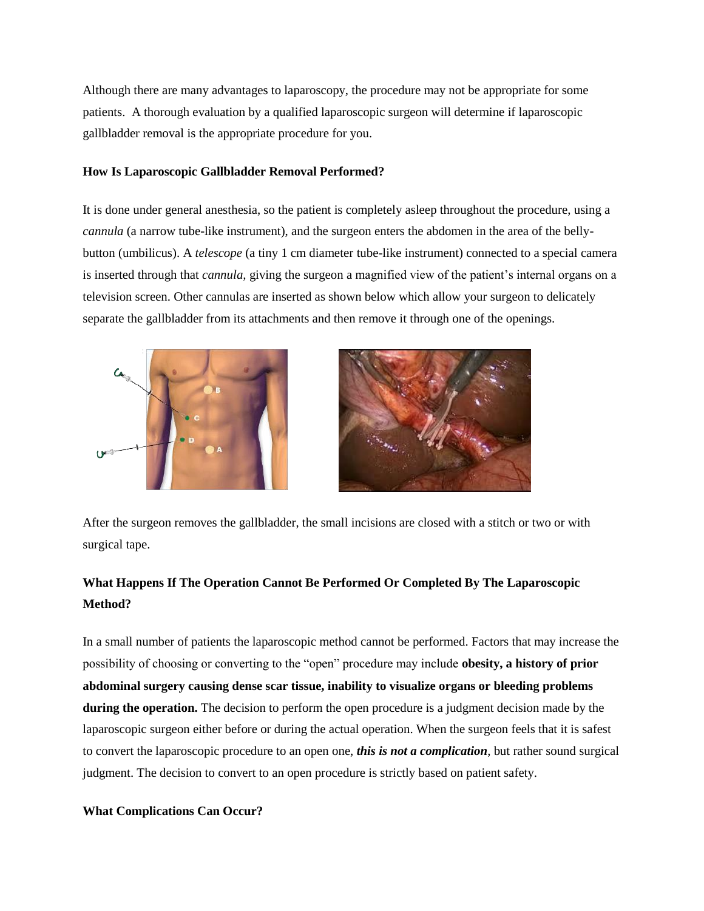Although there are many advantages to laparoscopy, the procedure may not be appropriate for some patients. A thorough evaluation by a qualified laparoscopic surgeon will determine if laparoscopic gallbladder removal is the appropriate procedure for you.

#### **How Is Laparoscopic Gallbladder Removal Performed?**

It is done under general anesthesia, so the patient is completely asleep throughout the procedure, using a *cannula* (a narrow tube-like instrument), and the surgeon enters the abdomen in the area of the bellybutton (umbilicus). A *telescope* (a tiny 1 cm diameter tube-like instrument) connected to a special camera is inserted through that *cannula,* giving the surgeon a magnified view of the patient's internal organs on a television screen. Other cannulas are inserted as shown below which allow your surgeon to delicately separate the gallbladder from its attachments and then remove it through one of the openings.





After the surgeon removes the gallbladder, the small incisions are closed with a stitch or two or with surgical tape.

# **What Happens If The Operation Cannot Be Performed Or Completed By The Laparoscopic Method?**

In a small number of patients the laparoscopic method cannot be performed. Factors that may increase the possibility of choosing or converting to the "open" procedure may include **obesity, a history of prior abdominal surgery causing dense scar tissue, inability to visualize organs or bleeding problems during the operation.** The decision to perform the open procedure is a judgment decision made by the laparoscopic surgeon either before or during the actual operation. When the surgeon feels that it is safest to convert the laparoscopic procedure to an open one, *this is not a complication*, but rather sound surgical judgment. The decision to convert to an open procedure is strictly based on patient safety.

#### **What Complications Can Occur?**